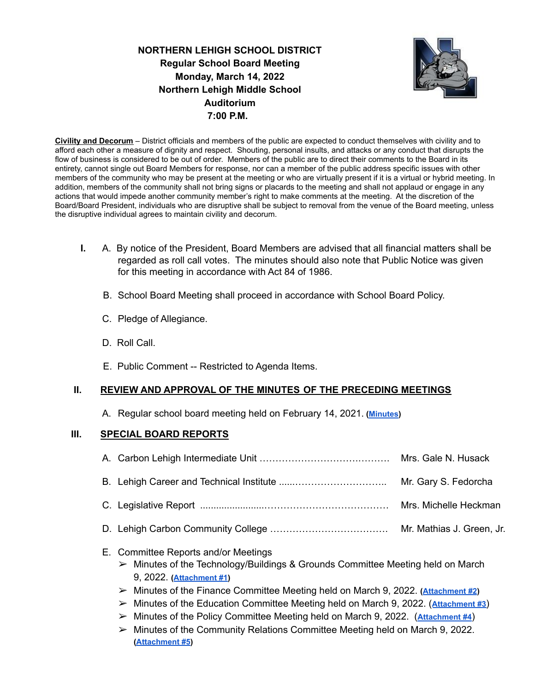**NORTHERN LEHIGH SCHOOL DISTRICT Regular School Board Meeting Monday, March 14, 2022 Northern Lehigh Middle School Auditorium 7:00 P.M.**



**Civility and Decorum** – District officials and members of the public are expected to conduct themselves with civility and to afford each other a measure of dignity and respect. Shouting, personal insults, and attacks or any conduct that disrupts the flow of business is considered to be out of order. Members of the public are to direct their comments to the Board in its entirety, cannot single out Board Members for response, nor can a member of the public address specific issues with other members of the community who may be present at the meeting or who are virtually present if it is a virtual or hybrid meeting. In addition, members of the community shall not bring signs or placards to the meeting and shall not applaud or engage in any actions that would impede another community member's right to make comments at the meeting. At the discretion of the Board/Board President, individuals who are disruptive shall be subject to removal from the venue of the Board meeting, unless the disruptive individual agrees to maintain civility and decorum.

- **I.** A. By notice of the President, Board Members are advised that all financial matters shall be regarded as roll call votes. The minutes should also note that Public Notice was given for this meeting in accordance with Act 84 of 1986.
	- B. School Board Meeting shall proceed in accordance with School Board Policy.
	- C. Pledge of Allegiance.
	- D. Roll Call.
	- E. Public Comment -- Restricted to Agenda Items.

#### **II. REVIEW AND APPROVAL OF THE MINUTES OF THE PRECEDING MEETINGS**

A. Regular school board meeting held on February 14, 2021. **[\(Minutes](https://drive.google.com/file/d/1scV2Wf1x3_xnWtPZF85DwaYnPSXZDARa/view?usp=sharing))**

### **III. SPECIAL BOARD REPORTS**

- E. Committee Reports and/or Meetings
	- $\triangleright$  Minutes of the Technology/Buildings & Grounds Committee Meeting held on March 9, 2022. **([Attachment #1\)](https://drive.google.com/file/d/1HuFnxt6bCA2fUs1qouWLXjOVcsQOnDyG/view?usp=sharing)**
	- ➢ Minutes of the Finance Committee Meeting held on March 9, 2022. **[\(Attachment #2](https://drive.google.com/file/d/16o-UTyVZB3T634wrRj483yPPViDaGJM8/view?usp=sharing))**
	- ➢ Minutes of the Education Committee Meeting held on March 9, 2022. (**[Attachment #3](https://drive.google.com/file/d/1h3YwuBQPvVweGFUr06iPLJ2z5lSZ3Fx6/view?usp=sharing)**)
	- ➢ Minutes of the Policy Committee Meeting held on March 9, 2022. (**[Attachment #4](https://drive.google.com/file/d/10Alt1GfSwEkmVRuy7LQnH7eKNOH_2n0w/view?usp=sharing)**)
	- $\triangleright$  Minutes of the Community Relations Committee Meeting held on March 9, 2022. **([Attachment #5](https://drive.google.com/file/d/1Jqs8fd_RXcjKn81Qp6OMIhnZg0N6aivp/view?usp=sharing))**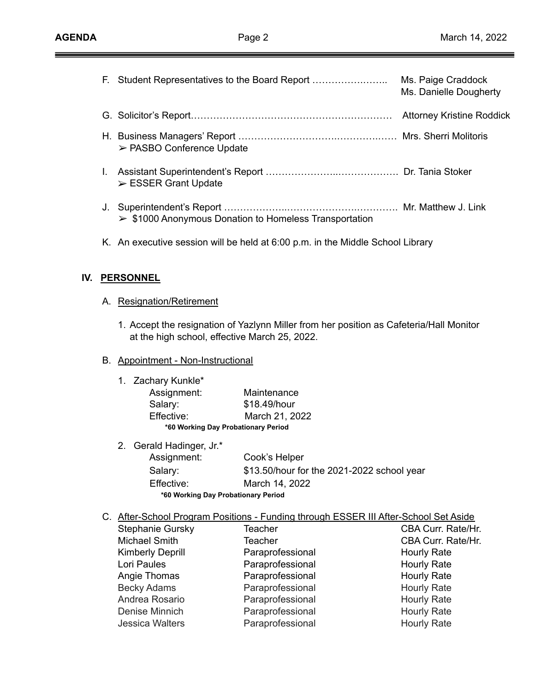\_\_\_

|    | F. Student Representatives to the Board Report                        | Ms. Paige Craddock<br>Ms. Danielle Dougherty |
|----|-----------------------------------------------------------------------|----------------------------------------------|
|    |                                                                       | <b>Attorney Kristine Roddick</b>             |
|    | $\triangleright$ PASBO Conference Update                              |                                              |
| L. | $\triangleright$ ESSER Grant Update                                   |                                              |
|    | $\triangleright$ \$1000 Anonymous Donation to Homeless Transportation |                                              |

K. An executive session will be held at 6:00 p.m. in the Middle School Library

## **IV. PERSONNEL**

- A. Resignation/Retirement
	- 1. Accept the resignation of Yazlynn Miller from her position as Cafeteria/Hall Monitor at the high school, effective March 25, 2022.

### B. Appointment - Non-Instructional

| 1. Zachary Kunkle* |                                     |
|--------------------|-------------------------------------|
| Assignment:        | Maintenance                         |
| Salary:            | \$18.49/hour                        |
| Effective:         | March 21, 2022                      |
|                    | *60 Working Day Probationary Period |

|                                     | 2. Gerald Hadinger, Jr.* |                                            |  |  |
|-------------------------------------|--------------------------|--------------------------------------------|--|--|
|                                     | Assignment:              | Cook's Helper                              |  |  |
|                                     | Salary:                  | \$13.50/hour for the 2021-2022 school year |  |  |
|                                     | Effective:               | March 14, 2022                             |  |  |
| *60 Working Day Probationary Period |                          |                                            |  |  |

C. After-School Program Positions - Funding through ESSER III After-School Set Aside

| <b>Teacher</b>   | CBA Curr. Rate/Hr. |
|------------------|--------------------|
| <b>Teacher</b>   | CBA Curr. Rate/Hr. |
| Paraprofessional | <b>Hourly Rate</b> |
| Paraprofessional | <b>Hourly Rate</b> |
| Paraprofessional | <b>Hourly Rate</b> |
| Paraprofessional | Hourly Rate        |
| Paraprofessional | Hourly Rate        |
| Paraprofessional | <b>Hourly Rate</b> |
| Paraprofessional | <b>Hourly Rate</b> |
|                  |                    |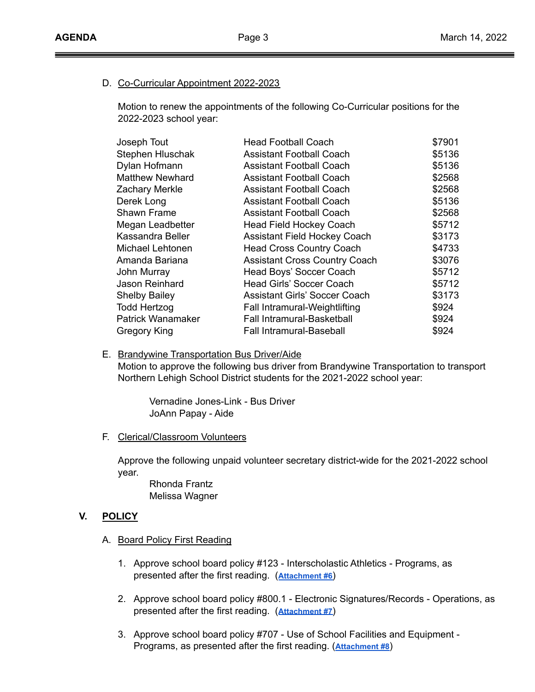### D. Co-Curricular Appointment 2022-2023

Motion to renew the appointments of the following Co-Curricular positions for the 2022-2023 school year:

| Joseph Tout            | <b>Head Football Coach</b>           | \$7901 |
|------------------------|--------------------------------------|--------|
| Stephen Hluschak       | <b>Assistant Football Coach</b>      | \$5136 |
| Dylan Hofmann          | <b>Assistant Football Coach</b>      | \$5136 |
| <b>Matthew Newhard</b> | <b>Assistant Football Coach</b>      | \$2568 |
| Zachary Merkle         | <b>Assistant Football Coach</b>      | \$2568 |
| Derek Long             | <b>Assistant Football Coach</b>      | \$5136 |
| Shawn Frame            | <b>Assistant Football Coach</b>      | \$2568 |
| Megan Leadbetter       | <b>Head Field Hockey Coach</b>       | \$5712 |
| Kassandra Beller       | <b>Assistant Field Hockey Coach</b>  | \$3173 |
| Michael Lehtonen       | <b>Head Cross Country Coach</b>      | \$4733 |
| Amanda Bariana         | <b>Assistant Cross Country Coach</b> | \$3076 |
| John Murray            | Head Boys' Soccer Coach              | \$5712 |
| Jason Reinhard         | Head Girls' Soccer Coach             | \$5712 |
| <b>Shelby Bailey</b>   | <b>Assistant Girls' Soccer Coach</b> | \$3173 |
| <b>Todd Hertzog</b>    | Fall Intramural-Weightlifting        | \$924  |
| Patrick Wanamaker      | Fall Intramural-Basketball           | \$924  |
| Gregory King           | <b>Fall Intramural-Baseball</b>      | \$924  |
|                        |                                      |        |

#### E. Brandywine Transportation Bus Driver/Aide

Motion to approve the following bus driver from Brandywine Transportation to transport Northern Lehigh School District students for the 2021-2022 school year:

Vernadine Jones-Link - Bus Driver JoAnn Papay - Aide

## F. Clerical/Classroom Volunteers

Approve the following unpaid volunteer secretary district-wide for the 2021-2022 school year.

Rhonda Frantz Melissa Wagner

## **V. POLICY**

- A. Board Policy First Reading
	- 1. Approve school board policy #123 Interscholastic Athletics Programs, as presented after the first reading. (**[Attachment](https://drive.google.com/file/d/1WMV_mDigSqLgUjv__19gDM1fhK671KrZ/view?usp=sharing) #6**)
	- 2. Approve school board policy #800.1 Electronic Signatures/Records Operations, as presented after the first reading. (**[Attachment](https://drive.google.com/file/d/1Igvpd-vcS6Tbgirz2dyu8KJesvULN77-/view?usp=sharing) #7**)
	- 3. Approve school board policy #707 Use of School Facilities and Equipment Programs, as presented after the first reading. (**[Attachment #8](https://drive.google.com/file/d/1e6oAa6kYrSgbTOKxsSGb3Ic7X8I-q9lw/view?usp=sharing)**)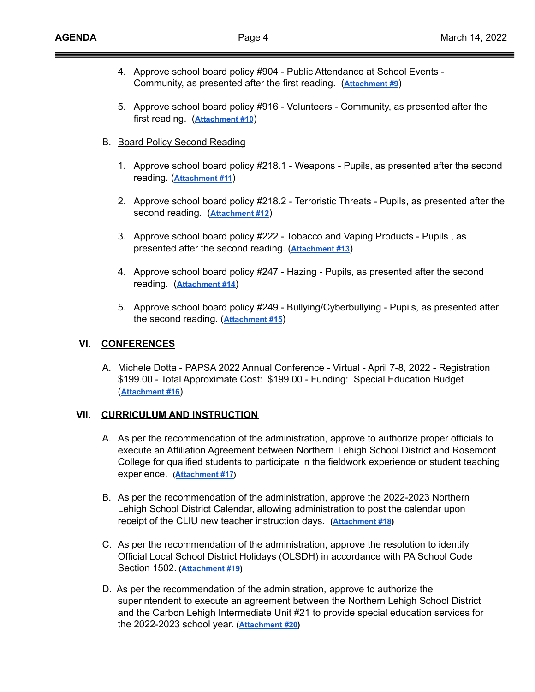- 4. Approve school board policy #904 Public Attendance at School Events Community, as presented after the first reading. (**[Attachment #9](https://drive.google.com/file/d/1qeHY-lmOQMcejNnmUQASy3I-s-AUnHkx/view?usp=sharing)**)
- 5. Approve school board policy #916 Volunteers Community, as presented after the first reading. (**[Attachment #10](https://drive.google.com/file/d/14Fi8aPfFHEi66Oo15SMfF3mMb58OOQy8/view?usp=sharing)**)
- B. Board Policy Second Reading
	- 1. Approve school board policy #218.1 Weapons Pupils, as presented after the second reading. (**[Attachment #11](https://drive.google.com/file/d/1Lbo6uoaz67wLyYjQyLS-s-VIAyRpEwXG/view?usp=sharing)**)
	- 2. Approve school board policy #218.2 Terroristic Threats Pupils, as presented after the second reading. (**[Attachment #12](https://drive.google.com/file/d/1LIiVoDs7ywuifGAOsWv6UDvEka0Vs3vB/view?usp=sharing)**)
	- 3. Approve school board policy #222 Tobacco and Vaping Products Pupils , as presented after the second reading. (**[Attachment](https://drive.google.com/file/d/1MG6q_kzKl66BMk0OTBgKnfcvQxXZs58B/view?usp=sharing) #13**)
	- 4. Approve school board policy #247 Hazing Pupils, as presented after the second reading. (**[Attachment #14](https://drive.google.com/file/d/1S6Ss12X0m8xM6QvZcN9bN7mWXY_MmILJ/view?usp=sharing)**)
	- 5. Approve school board policy #249 Bullying/Cyberbullying Pupils, as presented after the second reading. (**[Attachment #15](https://drive.google.com/file/d/1w1RLbSnOUFOflGnE6wIZoY0nBOUNt27v/view?usp=sharing)**)

# **VI. CONFERENCES**

A. Michele Dotta - PAPSA 2022 Annual Conference - Virtual - April 7-8, 2022 - Registration \$199.00 - Total Approximate Cost: \$199.00 - Funding: Special Education Budget (**[Attachment #16](https://drive.google.com/file/d/1RBjHUR8tZK50g8i-b_0TArR3zqA-CW1u/view?usp=sharing)**)

## **VII. CURRICULUM AND INSTRUCTION**

- A. As per the recommendation of the administration, approve to authorize proper officials to execute an Affiliation Agreement between Northern Lehigh School District and Rosemont College for qualified students to participate in the fieldwork experience or student teaching experience. **([Attachment #17](https://drive.google.com/file/d/153uz-fRtNGjth74rx3I5oGKfltTlU9Rg/view?usp=sharing))**
- B. As per the recommendation of the administration, approve the 2022-2023 Northern Lehigh School District Calendar, allowing administration to post the calendar upon receipt of the CLIU new teacher instruction days. **[\(Attachment #18](https://drive.google.com/file/d/1V-E7cMEh-r5ON2XRbw7BmDkfPDs1oArs/view?usp=sharing))**
- C. As per the recommendation of the administration, approve the resolution to identify Official Local School District Holidays (OLSDH) in accordance with PA School Code Section 1502. **([Attachment #19\)](https://drive.google.com/file/d/1QDHsfy5IwfKLqUgfDj6HsivFkjTsqksx/view?usp=sharing)**
- D. As per the recommendation of the administration, approve to authorize the superintendent to execute an agreement between the Northern Lehigh School District and the Carbon Lehigh Intermediate Unit #21 to provide special education services for the 2022-2023 school year. **([Attachment #20\)](https://drive.google.com/file/d/1mqY0V8nvODuC3VCb0M2_53beKV8kDQCU/view?usp=sharing)**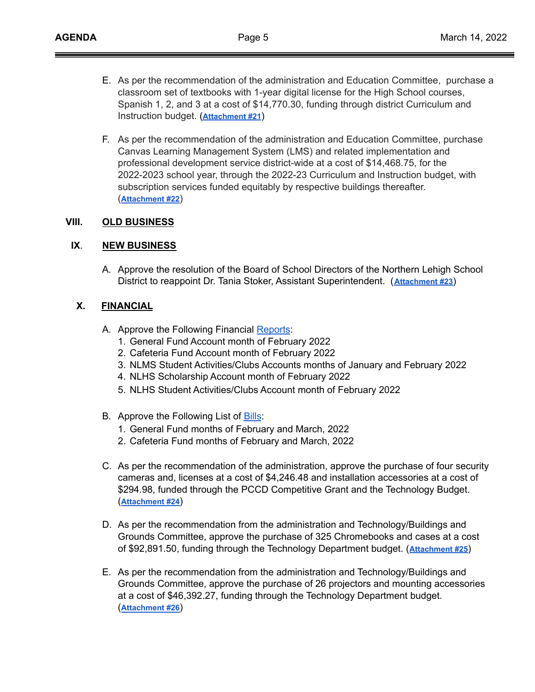- E. As per the recommendation of the administration and Education Committee, purchase a classroom set of textbooks with 1-year digital license for the High School courses, Spanish 1, 2, and 3 at a cost of \$14,770.30, funding through district Curriculum and Instruction budget. (**[Attachment #21](https://drive.google.com/file/d/13jHwBkkA25mxhZNNjpWYyZFdrP67X-2C/view?usp=sharing)**)
- F. As per the recommendation of the administration and Education Committee, purchase Canvas Learning Management System (LMS) and related implementation and professional development service district-wide at a cost of \$14,468.75, for the 2022-2023 school year, through the 2022-23 Curriculum and Instruction budget, with subscription services funded equitably by respective buildings thereafter. (**[Attachment #22](https://drive.google.com/file/d/13mopswdOxkkdgH-AUR3icHROZyevCul6/view?usp=sharing)**)

### **VIII. OLD BUSINESS**

### **IX**. **NEW BUSINESS**

A. Approve the resolution of the Board of School Directors of the Northern Lehigh School District to reappoint Dr. Tania Stoker, Assistant Superintendent. (**[Attachment #23](https://drive.google.com/file/d/1Y_45CBhyGdmjGYfjxNMDc1URU77ol6K_/view?usp=sharing)**)

### **X. FINANCIAL**

- A. Approve the Following Financial [Reports](https://drive.google.com/file/d/1RN8tNf_n4ehH0GEgt2N_Tg9MmPJnHvix/view?usp=sharing):
	- 1. General Fund Account month of February 2022
	- 2. Cafeteria Fund Account month of February 2022
	- 3. NLMS Student Activities/Clubs Accounts months of January and February 2022
	- 4. NLHS Scholarship Account month of February 2022
	- 5. NLHS Student Activities/Clubs Account month of February 2022
- B. Approve the Following List of **[Bills](https://drive.google.com/file/d/1tULU8ToPQiGDk3jiwQwccgR45KPoMdNz/view?usp=sharing)**:
	- 1. General Fund months of February and March, 2022
	- 2. Cafeteria Fund months of February and March, 2022
- C. As per the recommendation of the administration, approve the purchase of four security cameras and, licenses at a cost of \$4,246.48 and installation accessories at a cost of \$294.98, funded through the PCCD Competitive Grant and the Technology Budget. (**[Attachment #24](https://drive.google.com/file/d/1yausU8iaRGKbk9K7msP2-Ei6NVv-a7-P/view?usp=sharing)**)
- D. As per the recommendation from the administration and Technology/Buildings and Grounds Committee, approve the purchase of 325 Chromebooks and cases at a cost of \$92,891.50, funding through the Technology Department budget. (**[Attachment #25](https://drive.google.com/file/d/1pmfqgmkErozIIqYfBROgtTREoKopFqBy/view?usp=sharing)**)
- E. As per the recommendation from the administration and Technology/Buildings and Grounds Committee, approve the purchase of 26 projectors and mounting accessories at a cost of \$46,392.27, funding through the Technology Department budget. (**[Attachment #26](https://drive.google.com/file/d/1v9reFrPl4onjg04IkWwHP_t3OOsSq9Jm/view?usp=sharing)**)